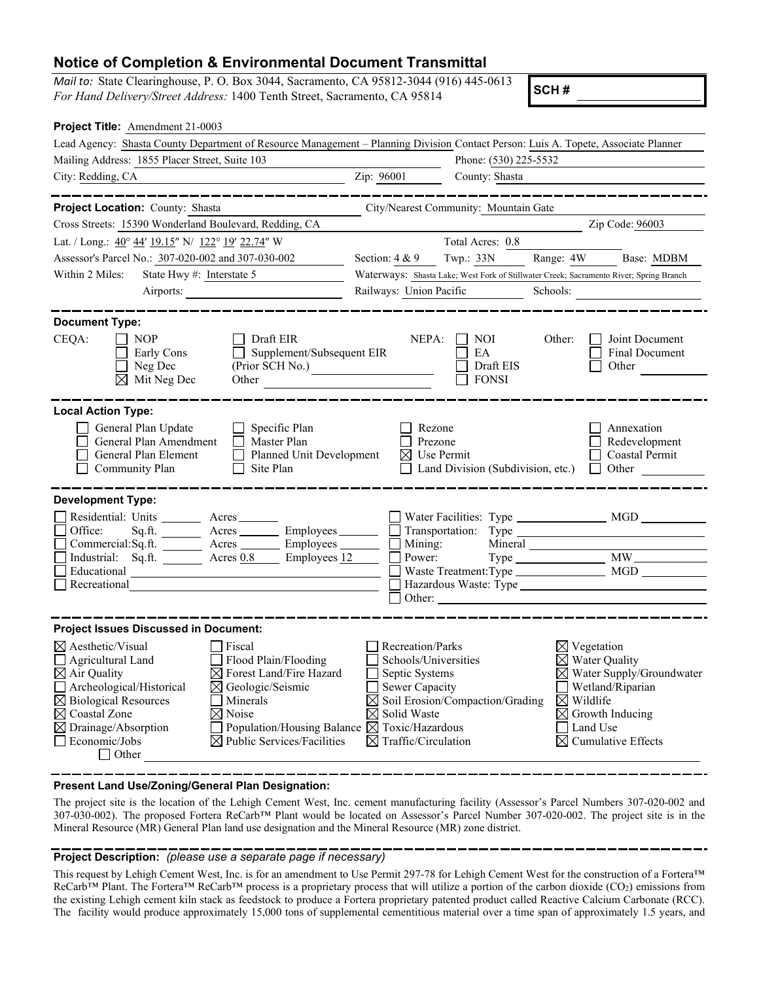## **Notice of Completion & Environmental Document Transmittal**

*Mail to:* State Clearinghouse, P. O. Box 3044, Sacramento, CA 95812-3044 (916) 445-0613 *For Hand Delivery/Street Address:* 1400 Tenth Street, Sacramento, CA 95814

**SCH #**

| Project Title: Amendment 21-0003                                                                                                                                                                              |                                             |                                                                                        |                        |                                                        |  |
|---------------------------------------------------------------------------------------------------------------------------------------------------------------------------------------------------------------|---------------------------------------------|----------------------------------------------------------------------------------------|------------------------|--------------------------------------------------------|--|
| Lead Agency: Shasta County Department of Resource Management - Planning Division Contact Person: Luis A. Topete, Associate Planner                                                                            |                                             |                                                                                        |                        |                                                        |  |
| Mailing Address: 1855 Placer Street, Suite 103                                                                                                                                                                | Phone: (530) 225-5532                       |                                                                                        |                        |                                                        |  |
| City: Redding, CA                                                                                                                                                                                             | Zip: 96001                                  | County: Shasta                                                                         |                        |                                                        |  |
|                                                                                                                                                                                                               |                                             |                                                                                        |                        |                                                        |  |
| Project Location: County: Shasta                                                                                                                                                                              |                                             | City/Nearest Community: Mountain Gate                                                  |                        |                                                        |  |
| Cross Streets: 15390 Wonderland Boulevard, Redding, CA                                                                                                                                                        |                                             |                                                                                        |                        | Zip Code: 96003                                        |  |
| Lat. / Long.: 40° 44' 19.15" N/ 122° 19' 22.74" W                                                                                                                                                             |                                             | Total Acres: 0.8                                                                       |                        |                                                        |  |
| Assessor's Parcel No.: 307-020-002 and 307-030-002                                                                                                                                                            | Section: $4 & 9$                            | Twp.: 33N                                                                              | Range: 4W              | Base: MDBM                                             |  |
| State Hwy #: Interstate 5<br>Within 2 Miles:                                                                                                                                                                  |                                             | Waterways: Shasta Lake; West Fork of Stillwater Creek; Sacramento River; Spring Branch |                        |                                                        |  |
| Airports:                                                                                                                                                                                                     | Railways: Union Pacific                     |                                                                                        | Schools:               |                                                        |  |
|                                                                                                                                                                                                               |                                             |                                                                                        |                        |                                                        |  |
| <b>Document Type:</b><br>CEQA:<br><b>NOP</b><br>Draft EIR<br>Supplement/Subsequent EIR<br>Early Cons<br>$\Box$<br>Neg Dec<br>(Prior SCH No.)<br>$\boxtimes$ Mit Neg Dec<br>Other                              | NEPA:                                       | NOI.<br>EA<br>Draft EIS<br><b>FONSI</b>                                                | Other:                 | Joint Document<br><b>Final Document</b><br>Other       |  |
| <b>Local Action Type:</b><br>General Plan Update<br>Specific Plan<br>General Plan Amendment<br>Master Plan<br>Planned Unit Development<br>General Plan Element<br>$\perp$<br>Site Plan<br>Community Plan<br>ப | Rezone<br>Prezone<br>$\boxtimes$ Use Permit | Land Division (Subdivision, etc.)                                                      |                        | Annexation<br>Redevelopment<br>Coastal Permit<br>Other |  |
| <b>Development Type:</b>                                                                                                                                                                                      |                                             |                                                                                        |                        |                                                        |  |
| Residential: Units ________ Acres _______                                                                                                                                                                     |                                             |                                                                                        |                        |                                                        |  |
| Sq.ft. __________ Acres ___________ Employees ________<br>Office:                                                                                                                                             |                                             |                                                                                        |                        |                                                        |  |
| Commercial:Sq.ft. _________ Acres _________ Employees ________ __ Mining:                                                                                                                                     |                                             |                                                                                        |                        |                                                        |  |
| Industrial: Sq.ft. ________ Acres 0.8 _____ Employees 12 _____<br>Educational                                                                                                                                 | Power:                                      |                                                                                        |                        |                                                        |  |
| Recreational                                                                                                                                                                                                  |                                             |                                                                                        |                        |                                                        |  |
|                                                                                                                                                                                                               | Other:                                      |                                                                                        |                        |                                                        |  |
| <b>Project Issues Discussed in Document:</b>                                                                                                                                                                  |                                             |                                                                                        |                        |                                                        |  |
| $\boxtimes$ Aesthetic/Visual<br>Fiscal                                                                                                                                                                        | Recreation/Parks                            |                                                                                        | $\boxtimes$ Vegetation |                                                        |  |
| Flood Plain/Flooding<br>Agricultural Land                                                                                                                                                                     | Schools/Universities                        |                                                                                        |                        | Water Quality                                          |  |
| $\boxtimes$ Air Quality<br>$\boxtimes$ Forest Land/Fire Hazard                                                                                                                                                | Septic Systems                              |                                                                                        |                        | $\boxtimes$ Water Supply/Groundwater                   |  |
| Archeological/Historical<br>$\boxtimes$ Geologic/Seismic                                                                                                                                                      |                                             | Sewer Capacity                                                                         |                        | Wetland/Riparian                                       |  |
| $\boxtimes$ Biological Resources<br>Minerals                                                                                                                                                                  |                                             | $\boxtimes$ Soil Erosion/Compaction/Grading<br>$\boxtimes$ Wildlife                    |                        |                                                        |  |
| $\boxtimes$ Coastal Zone<br>$\boxtimes$ Noise                                                                                                                                                                 | ⊠                                           | Solid Waste<br>$\boxtimes$ Growth Inducing                                             |                        |                                                        |  |
| $\boxtimes$ Drainage/Absorption<br>Population/Housing Balance $\boxtimes$                                                                                                                                     |                                             | Toxic/Hazardous<br>Land Use                                                            |                        |                                                        |  |
| Economic/Jobs<br>$\boxtimes$ Public Services/Facilities<br>$\Box$ Other                                                                                                                                       | $\boxtimes$ Traffic/Circulation             |                                                                                        |                        | <b>Cumulative Effects</b>                              |  |

**Present Land Use/Zoning/General Plan Designation:**

The project site is the location of the Lehigh Cement West, Inc. cement manufacturing facility (Assessor's Parcel Numbers 307-020-002 and 307-030-002). The proposed Fortera ReCarb™ Plant would be located on Assessor's Parcel Number 307-020-002. The project site is in the Mineral Resource (MR) General Plan land use designation and the Mineral Resource (MR) zone district.

## **Project Description:** *(please use a separate page if necessary)*

This request by Lehigh Cement West, Inc. is for an amendment to Use Permit 297-78 for Lehigh Cement West for the construction of a Fortera™ ReCarb™ Plant. The Fortera™ ReCarb™ process is a proprietary process that will utilize a portion of the carbon dioxide (CO2) emissions from the existing Lehigh cement kiln stack as feedstock to produce a Fortera proprietary patented product called Reactive Calcium Carbonate (RCC). The facility would produce approximately 15,000 tons of supplemental cementitious material over a time span of approximately 1.5 years, and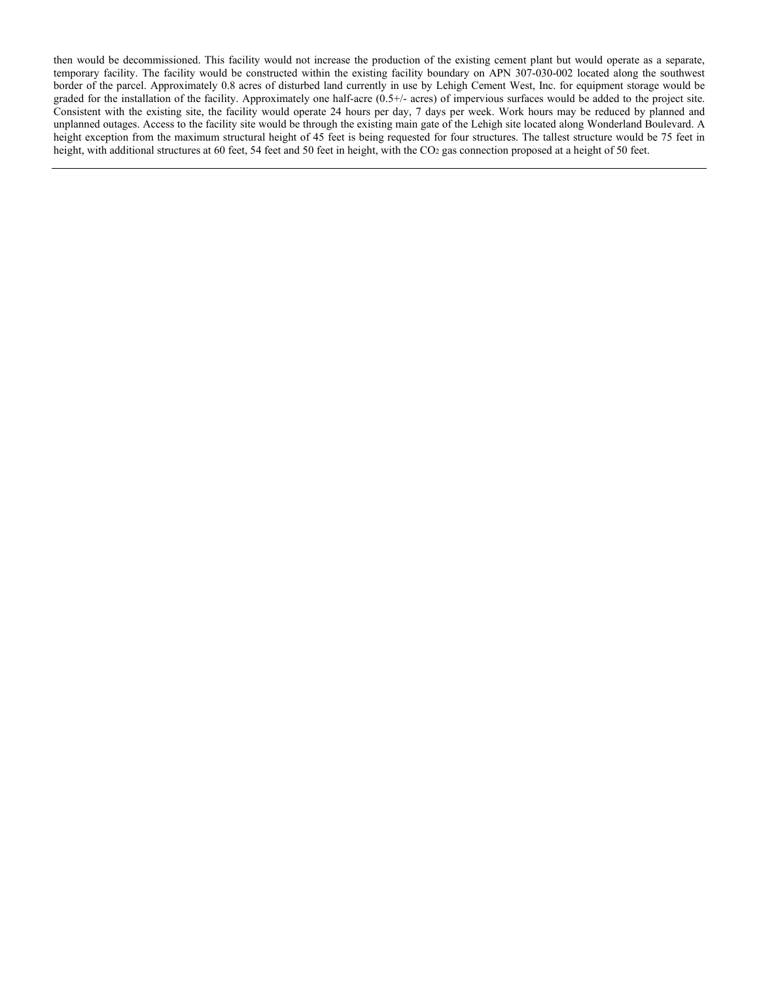then would be decommissioned. This facility would not increase the production of the existing cement plant but would operate as a separate, temporary facility. The facility would be constructed within the existing facility boundary on APN 307-030-002 located along the southwest border of the parcel. Approximately 0.8 acres of disturbed land currently in use by Lehigh Cement West, Inc. for equipment storage would be graded for the installation of the facility. Approximately one half-acre (0.5+/- acres) of impervious surfaces would be added to the project site. Consistent with the existing site, the facility would operate 24 hours per day, 7 days per week. Work hours may be reduced by planned and unplanned outages. Access to the facility site would be through the existing main gate of the Lehigh site located along Wonderland Boulevard. A height exception from the maximum structural height of 45 feet is being requested for four structures. The tallest structure would be 75 feet in height, with additional structures at 60 feet, 54 feet and 50 feet in height, with the CO<sub>2</sub> gas connection proposed at a height of 50 feet.